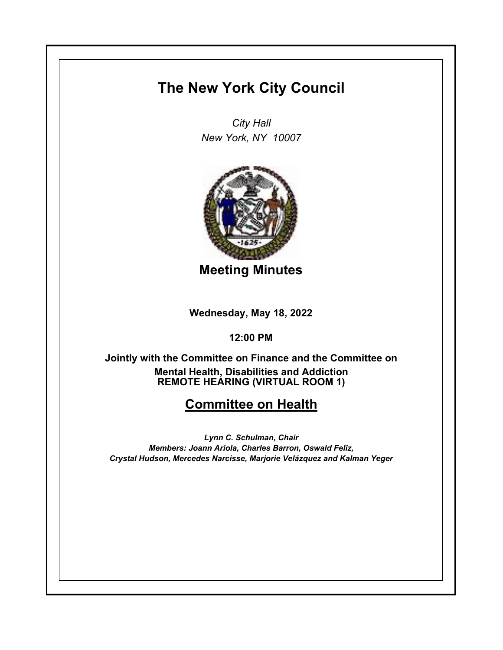## **The New York City Council**

*City Hall New York, NY 10007*



**Meeting Minutes**

**Wednesday, May 18, 2022**

**12:00 PM**

**REMOTE HEARING (VIRTUAL ROOM 1) Jointly with the Committee on Finance and the Committee on Mental Health, Disabilities and Addiction**

## **Committee on Health**

*Lynn C. Schulman, Chair Members: Joann Ariola, Charles Barron, Oswald Feliz, Crystal Hudson, Mercedes Narcisse, Marjorie Velázquez and Kalman Yeger*